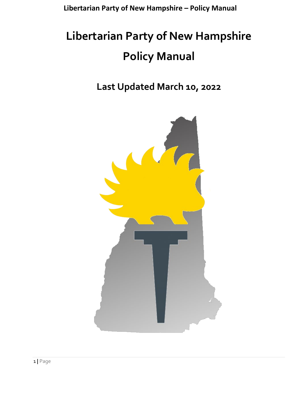# **Libertarian Party of New Hampshire Policy Manual**

**Last Updated March 10, 2022**

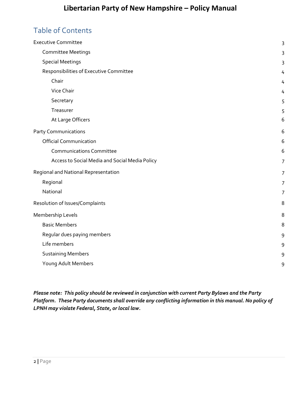### Table of Contents

| <b>Executive Committee</b>                     | 3              |
|------------------------------------------------|----------------|
| <b>Committee Meetings</b>                      | 3              |
| <b>Special Meetings</b>                        | 3              |
| Responsibilities of Executive Committee        | 4              |
| Chair                                          | 4              |
| Vice Chair                                     | 4              |
| Secretary                                      | 5              |
| Treasurer                                      | 5              |
| At Large Officers                              | 6              |
| <b>Party Communications</b>                    | 6              |
| <b>Official Communication</b>                  | 6              |
| <b>Communications Committee</b>                | 6              |
| Access to Social Media and Social Media Policy | $\overline{7}$ |
| Regional and National Representation           | $\overline{7}$ |
| Regional                                       | 7              |
| National                                       | $\overline{7}$ |
| Resolution of Issues/Complaints                | 8              |
| Membership Levels                              | 8              |
| <b>Basic Members</b>                           | 8              |
| Regular dues paying members                    | 9              |
| Life members                                   | 9              |
| <b>Sustaining Members</b>                      | 9              |
| Young Adult Members                            | 9              |
|                                                |                |

*Please note: This policy should be reviewed in conjunction with current Party Bylaws and the Party Platform. These Party documents shall override any conflicting information in this manual. No policy of LPNH may violate Federal, State, or local law.*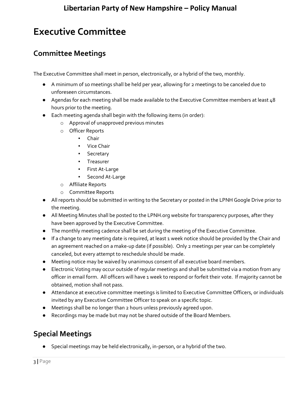# <span id="page-2-0"></span>**Executive Committee**

#### <span id="page-2-1"></span>**Committee Meetings**

The Executive Committee shall meet in person, electronically, or a hybrid of the two, monthly.

- A minimum of 10 meetings shall be held per year, allowing for 2 meetings to be canceled due to unforeseen circumstances.
- Agendas for each meeting shall be made available to the Executive Committee members at least 48 hours prior to the meeting.
- Each meeting agenda shall begin with the following items (in order):
	- o Approval of unapproved previous minutes
	- o Officer Reports
		- Chair
		- Vice Chair
		- Secretary
		- Treasurer
		- First At-Large
		- Second At-Large
	- o Affiliate Reports
	- o Committee Reports
- All reports should be submitted in writing to the Secretary or posted in the LPNH Google Drive prior to the meeting.
- All Meeting Minutes shall be posted to the LPNH.org website for transparency purposes, after they have been approved by the Executive Committee.
- The monthly meeting cadence shall be set during the meeting of the Executive Committee.
- If a change to any meeting date is required, at least 1 week notice should be provided by the Chair and an agreement reached on a make-up date (if possible). Only 2 meetings per year can be completely canceled, but every attempt to reschedule should be made.
- Meeting notice may be waived by unanimous consent of all executive board members.
- Electronic Voting may occur outside of regular meetings and shall be submitted via a motion from any officer in email form. All officers will have 1 week to respond or forfeit their vote. If majority cannot be obtained, motion shall not pass.
- Attendance at executive committee meetings is limited to Executive Committee Officers, or individuals invited by any Executive Committee Officer to speak on a specific topic.
- Meetings shall be no longer than 2 hours unless previously agreed upon.
- Recordings may be made but may not be shared outside of the Board Members.

### <span id="page-2-2"></span>**Special Meetings**

● Special meetings may be held electronically, in-person, or a hybrid of the two.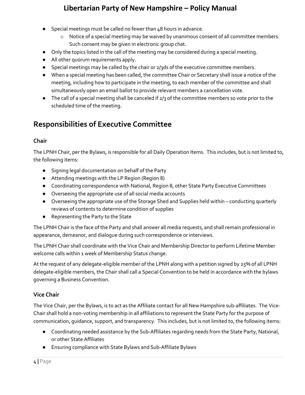- Special meetings must be called no fewer than 48 hours in advance.
	- o Notice of a special meeting may be waived by unanimous consent of all committee members. Such consent may be given in electronic group chat.
- Only the topics listed in the call of the meeting may be considered during a special meeting.
- All other quorum requirements apply.
- Special meetings may be called by the chair or 2/3ds of the executive committee members.
- When a special meeting has been called, the committee Chair or Secretary shall issue a notice of the meeting, including how to participate in the meeting, to each member of the committee and shall simultaneously open an email ballot to provide relevant members a cancellation vote.
- $\bullet$  The call of a special meeting shall be canceled if  $2/3$  of the committee members so vote prior to the scheduled time of the meeting.

### <span id="page-3-0"></span>**Responsibilities of Executive Committee**

#### <span id="page-3-1"></span>**Chair**

The LPNH Chair, per the Bylaws, is responsible for all Daily Operation Items. This includes, but is not limited to, the following items:

- Signing legal documentation on behalf of the Party
- Attending meetings with the LP Region (Region 8)
- Coordinating correspondence with National, Region 8, other State Party Executive Committees
- Overseeing the appropriate use of all social media accounts
- Overseeing the appropriate use of the Storage Shed and Supplies held within conducting quarterly reviews of contents to determine condition of supplies
- Representing the Party to the State

The LPNH Chair is the face of the Party and shall answer all media requests, and shall remain professional in appearance, demeanor, and dialogue during such correspondence or interviews.

The LPNH Chair shall coordinate with the Vice Chair and Membership Director to perform Lifetime Member welcome calls within 1 week of Membership Status change.

At the request of any delegate-eligible member of the LPNH along with a petition signed by 25% of all LPNH delegate-eligible members, the Chair shall call a Special Convention to be held in accordance with the bylaws governing a Business Convention.

#### <span id="page-3-2"></span>**Vice Chair**

The Vice Chair, per the Bylaws, is to act as the Affiliate contact for all New Hampshire sub-affiliates. The Vice-Chair shall hold a non-voting membership in all affiliations to represent the State Party for the purpose of communication, guidance, support, and transparency. This includes, but is not limited to, the following items:

- Coordinating needed assistance by the Sub-Affiliates regarding needs from the State Party, National, or other State Affiliates
- Ensuring compliance with State Bylaws and Sub-Affiliate Bylaws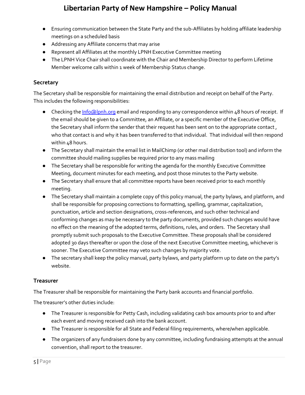- Ensuring communication between the State Party and the sub-Affiliates by holding affiliate leadership meetings on a scheduled basis
- Addressing any Affiliate concerns that may arise
- Represent all Affiliates at the monthly LPNH Executive Committee meeting
- The LPNH Vice Chair shall coordinate with the Chair and Membership Director to perform Lifetime Member welcome calls within 1 week of Membership Status change.

#### <span id="page-4-0"></span>**Secretary**

The Secretary shall be responsible for maintaining the email distribution and receipt on behalf of the Party. This includes the following responsibilities:

- Checking the *Info@lpnh.org* email and responding to any correspondence within 48 hours of receipt. If the email should be given to a Committee, an Affiliate, or a specific member of the Executive Office, the Secretary shall inform the sender that their request has been sent on to the appropriate contact , who that contact is and why it has been transferred to that individual. That individual will then respond within 48 hours.
- The Secretary shall maintain the email list in MailChimp (or other mail distribution tool) and inform the committee should mailing supplies be required prior to any mass mailing
- The Secretary shall be responsible for writing the agenda for the monthly Executive Committee Meeting, document minutes for each meeting, and post those minutes to the Party website.
- The Secretary shall ensure that all committee reports have been received prior to each monthly meeting.
- The Secretary shall maintain a complete copy of this policy manual, the party bylaws, and platform, and shall be responsible for proposing corrections to formatting, spelling, grammar, capitalization, punctuation, article and section designations, cross-references, and such other technical and conforming changes as may be necessary to the party documents, provided such changes would have no effect on the meaning of the adopted terms, definitions, rules, and orders. The Secretary shall promptly submit such proposals to the Executive Committee. These proposals shall be considered adopted 30 days thereafter or upon the close of the next Executive Committee meeting, whichever is sooner. The Executive Committee may veto such changes by majority vote.
- The secretary shall keep the policy manual, party bylaws, and party platform up to date on the party's website.

#### <span id="page-4-1"></span>**Treasurer**

The Treasurer shall be responsible for maintaining the Party bank accounts and financial portfolio.

The treasurer's other duties include:

- The Treasurer is responsible for Petty Cash, including validating cash box amounts prior to and after each event and moving received cash into the bank account.
- The Treasurer is responsible for all State and Federal filing requirements, where/when applicable.
- The organizers of any fundraisers done by any committee, including fundraising attempts at the annual convention, shall report to the treasurer.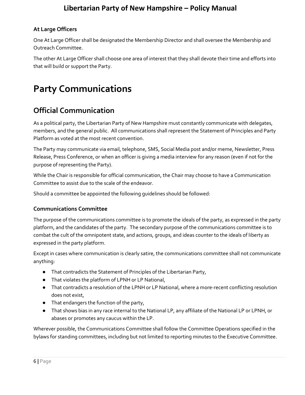#### <span id="page-5-0"></span>**At Large Officers**

One At Large Officer shall be designated the Membership Director and shall oversee the Membership and Outreach Committee.

The other At Large Officer shall choose one area of interest that they shall devote their time and efforts into that will build or support the Party.

# <span id="page-5-1"></span>**Party Communications**

### <span id="page-5-2"></span>**Official Communication**

As a political party, the Libertarian Party of New Hampshire must constantly communicate with delegates, members, and the general public. All communications shall represent the Statement of Principles and Party Platform as voted at the most recent convention.

The Party may communicate via email, telephone, SMS, Social Media post and/or meme, Newsletter, Press Release, Press Conference, or when an officer is giving a media interview for any reason (even if not for the purpose of representing the Party).

While the Chair is responsible for official communication, the Chair may choose to have a Communication Committee to assist due to the scale of the endeavor.

Should a committee be appointed the following guidelines should be followed:

#### <span id="page-5-3"></span>**Communications Committee**

The purpose of the communications committee is to promote the ideals of the party, as expressed in the party platform, and the candidates of the party. The secondary purpose of the communications committee is to combat the cult of the omnipotent state, and actions, groups, and ideas counter to the ideals of liberty as expressed in the party platform.

Except in cases where communication is clearly satire, the communications committee shall not communicate anything:

- That contradicts the Statement of Principles of the Libertarian Party,
- That violates the platform of LPNH or LP National,
- That contradicts a resolution of the LPNH or LP National, where a more-recent conflicting resolution does not exist,
- That endangers the function of the party,
- That shows bias in any race internal to the National LP, any affiliate of the National LP or LPNH, or abases or promotes any caucus within the LP.

Wherever possible, the Communications Committee shall follow the Committee Operations specified in the bylaws for standing committees, including but not limited to reporting minutes to the Executive Committee.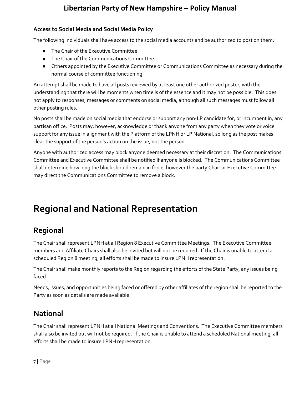#### <span id="page-6-0"></span>**Access to Social Media and Social Media Policy**

The following individuals shall have access to the social media accounts and be authorized to post on them:

- The Chair of the Executive Committee
- The Chair of the Communications Committee
- Others appointed by the Executive Committee or Communications Committee as necessary during the normal course of committee functioning.

An attempt shall be made to have all posts reviewed by at least one other authorized poster, with the understanding that there will be moments when time is of the essence and it may not be possible. This does not apply to responses, messages or comments on social media, although all such messages must follow all other posting rules.

No posts shall be made on social media that endorse or support any non-LP candidate for, or incumbent in, any partisan office. Posts may, however, acknowledge or thank anyone from any party when they vote or voice support for any issue in alignment with the Platform of the LPNH or LP National, so long as the post makes clear the support of the person's action on the issue, not the person.

Anyone with authorized access may block anyone deemed necessary at their discretion. The Communications Committee and Executive Committee shall be notified if anyone is blocked. The Communications Committee shall determine how long the block should remain in force, however the party Chair or Executive Committee may direct the Communications Committee to remove a block.

# <span id="page-6-1"></span>**Regional and National Representation**

## <span id="page-6-2"></span>**Regional**

The Chair shall represent LPNH at all Region 8 Executive Committee Meetings. The Executive Committee members and Affiliate Chairs shall also be invited but will not be required. If the Chair is unable to attend a scheduled Region 8 meeting, all efforts shall be made to insure LPNH representation.

The Chair shall make monthly reports to the Region regarding the efforts of the State Party, any issues being faced.

Needs, issues, and opportunities being faced or offered by other affiliates of the region shall be reported to the Party as soon as details are made available.

## <span id="page-6-3"></span>**National**

The Chair shall represent LPNH at all National Meetings and Conventions. The Executive Committee members shall also be invited but will not be required. If the Chair is unable to attend a scheduled National meeting, all efforts shall be made to insure LPNH representation.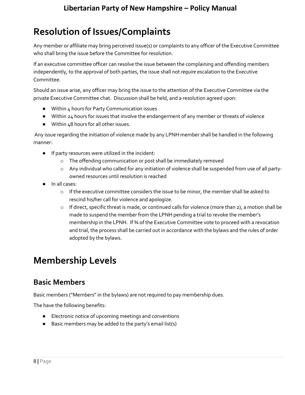# <span id="page-7-0"></span>**Resolution of Issues/Complaints**

Any member or affiliate may bring perceived issue(s) or complaints to any officer of the Executive Committee who shall bring the issue before the Committee for resolution.

If an executive committee officer can resolve the issue between the complaining and offending members independently, to the approval of both parties, the issue shall not *require* escalation to the Executive Committee.

Should an issue arise, any officer may bring the issue to the attention of the Executive Committee via the private Executive Committee chat. Discussion shall be held, and a resolution agreed upon:

- Within 4 hours for Party Communication issues
- Within 24 hours for issues that involve the endangerment of any member or threats of violence
- Within 48 hours for all other issues.

Any issue regarding the initiation of violence made by any LPNH member shall be handled in the following manner:

- If party resources were utilized in the incident:
	- o The offending communication or post shall be immediately removed
	- $\circ$  Any individual who called for any initiation of violence shall be suspended from use of all partyowned resources until resolution is reached
- In all cases:
	- o If the executive committee considers the issue to be minor, the member shall be asked to rescind his/her call for violence and apologize.
	- $\circ$  If direct, specific threat is made, or continued calls for violence (more than 2), a motion shall be made to suspend the member from the LPNH pending a trial to revoke the member's membership in the LPNH. If ¾ of the Executive Committee vote to proceed with a revocation and trial, the process shall be carried out in accordance with the bylaws and the rules of order adopted by the bylaws.

# <span id="page-7-1"></span>**Membership Levels**

## <span id="page-7-2"></span>**Basic Members**

Basic members ("Members" in the bylaws) are not required to pay membership dues.

The have the following benefits:

- Electronic notice of upcoming meetings and conventions
- Basic members may be added to the party's email list(s)